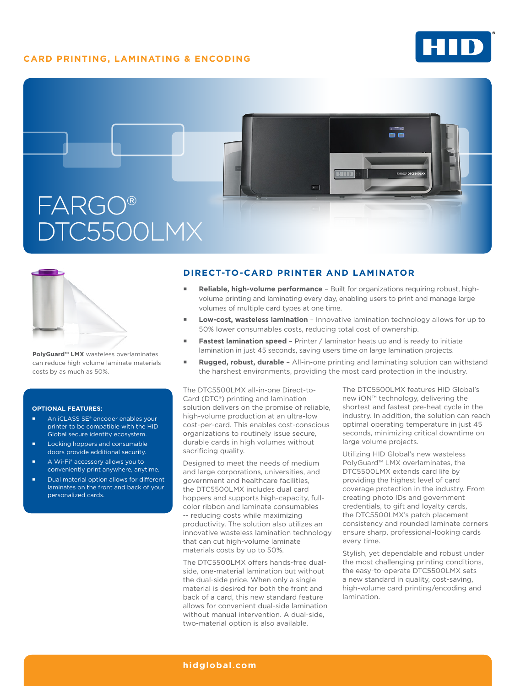# **CARD PRINTING, LAMINATING & ENCODING**





**PolyGuard™ LMX** wasteless overlaminates can reduce high volume laminate materials costs by as much as 50%.

#### **OPTIONAL FEATURES:**

- An iCLASS SE<sup>®</sup> encoder enables your printer to be compatible with the HID Global secure identity ecosystem.
- Locking hoppers and consumable doors provide additional security.
- A Wi-Fi® accessory allows you to conveniently print anywhere, anytime.
- Dual material option allows for different laminates on the front and back of your personalized cards.

## **DIRECT-TO-CARD PRINTER AND LAMINATOR**

- **Reliable, high-volume performance**  Built for organizations requiring robust, highvolume printing and laminating every day, enabling users to print and manage large volumes of multiple card types at one time.
- **Low-cost, wasteless lamination** Innovative lamination technology allows for up to 50% lower consumables costs, reducing total cost of ownership.
- **Fastest lamination speed** Printer / laminator heats up and is ready to initiate lamination in just 45 seconds, saving users time on large lamination projects.
- **Rugged, robust, durable**  All-in-one printing and laminating solution can withstand the harshest environments, providing the most card protection in the industry.

The DTC5500LMX all-in-one Direct-to-Card (DTC®) printing and lamination solution delivers on the promise of reliable, high-volume production at an ultra-low cost-per-card. This enables cost-conscious organizations to routinely issue secure, durable cards in high volumes without sacrificing quality.

Designed to meet the needs of medium and large corporations, universities, and government and healthcare facilities, the DTC5500LMX includes dual card hoppers and supports high-capacity, fullcolor ribbon and laminate consumables -- reducing costs while maximizing productivity. The solution also utilizes an innovative wasteless lamination technology that can cut high-volume laminate materials costs by up to 50%.

The DTC5500LMX offers hands-free dualside, one-material lamination but without the dual-side price. When only a single material is desired for both the front and back of a card, this new standard feature allows for convenient dual-side lamination without manual intervention. A dual-side, two-material option is also available.

The DTC5500LMX features HID Global's new iON™ technology, delivering the shortest and fastest pre-heat cycle in the industry. In addition, the solution can reach optimal operating temperature in just 45 seconds, minimizing critical downtime on large volume projects.

Utilizing HID Global's new wasteless PolyGuard™ LMX overlaminates, the DTC5500LMX extends card life by providing the highest level of card coverage protection in the industry. From creating photo IDs and government credentials, to gift and loyalty cards, the DTC5500LMX's patch placement consistency and rounded laminate corners ensure sharp, professional-looking cards every time.

Stylish, yet dependable and robust under the most challenging printing conditions, the easy-to-operate DTC5500LMX sets a new standard in quality, cost-saving, high-volume card printing/encoding and lamination.

### **[hidglobal.com](http://www.hidglobal.com)**